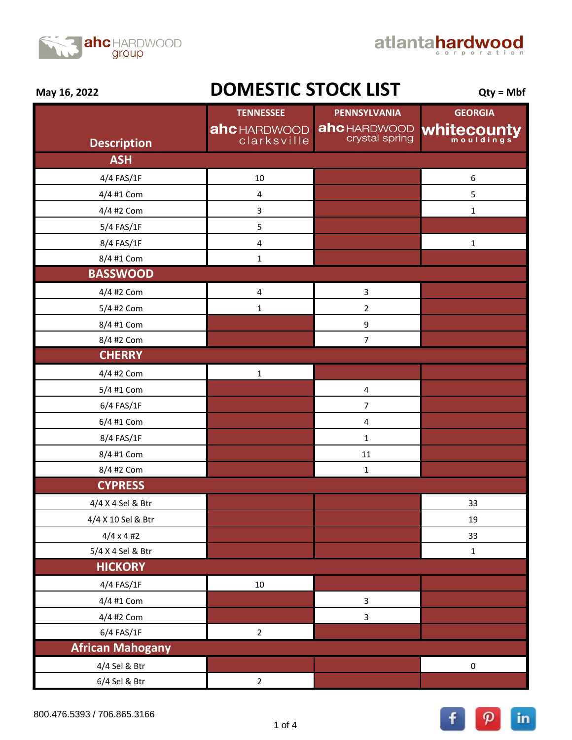



|                         | <b>TENNESSEE</b>           | PENNSYLVANIA                  | <b>GEORGIA</b>   |
|-------------------------|----------------------------|-------------------------------|------------------|
|                         | ahcHARDWOOD<br>clarksville | ahcHARDWOOD<br>crystal spring | whitecounty      |
| <b>Description</b>      |                            |                               |                  |
| <b>ASH</b>              |                            |                               |                  |
| 4/4 FAS/1F              | $10\,$                     |                               | $\boldsymbol{6}$ |
| 4/4 #1 Com              | 4                          |                               | 5                |
| 4/4 #2 Com              | 3                          |                               | $\mathbf 1$      |
| 5/4 FAS/1F              | 5                          |                               |                  |
| 8/4 FAS/1F              | 4                          |                               | $\mathbf 1$      |
| 8/4 #1 Com              | $\mathbf{1}$               |                               |                  |
| <b>BASSWOOD</b>         |                            |                               |                  |
| 4/4 #2 Com              | $\pmb{4}$                  | 3                             |                  |
| 5/4 #2 Com              | $\mathbf 1$                | $\overline{2}$                |                  |
| 8/4 #1 Com              |                            | $\boldsymbol{9}$              |                  |
| 8/4 #2 Com              |                            | $\overline{7}$                |                  |
| <b>CHERRY</b>           |                            |                               |                  |
| 4/4 #2 Com              | $\mathbf 1$                |                               |                  |
| 5/4 #1 Com              |                            | 4                             |                  |
| 6/4 FAS/1F              |                            | $\overline{7}$                |                  |
| 6/4 #1 Com              |                            | 4                             |                  |
| 8/4 FAS/1F              |                            | $\mathbf 1$                   |                  |
| 8/4 #1 Com              |                            | $11\,$                        |                  |
| 8/4 #2 Com              |                            | $\mathbf 1$                   |                  |
| <b>CYPRESS</b>          |                            |                               |                  |
| 4/4 X 4 Sel & Btr       |                            |                               | 33               |
| 4/4 X 10 Sel & Btr      |                            |                               | 19               |
| $4/4 \times 4$ #2       |                            |                               | 33               |
| 5/4 X 4 Sel & Btr       |                            |                               | $\mathbf 1$      |
| <b>HICKORY</b>          |                            |                               |                  |
| 4/4 FAS/1F              | $10\,$                     |                               |                  |
| 4/4 #1 Com              |                            | 3                             |                  |
| 4/4 #2 Com              |                            | 3                             |                  |
| 6/4 FAS/1F              | $\overline{2}$             |                               |                  |
| <b>African Mahogany</b> |                            |                               |                  |
| 4/4 Sel & Btr           |                            |                               | $\pmb{0}$        |
| 6/4 Sel & Btr           | $\overline{2}$             |                               |                  |

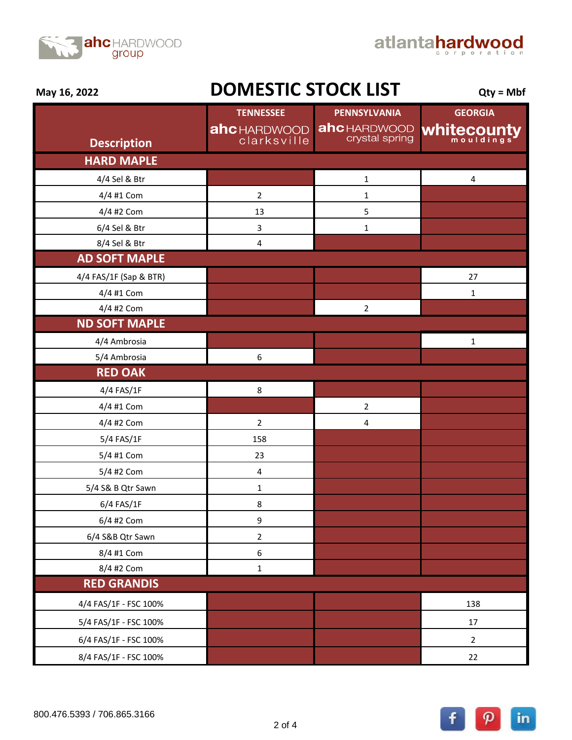



|                        | <b>TENNESSEE</b>        | PENNSYLVANIA                          | <b>GEORGIA</b> |
|------------------------|-------------------------|---------------------------------------|----------------|
|                        | <b>ahc</b> HARDWOOD     | <b>ahc</b> HARDWOOD<br>crystal spring | whitecounty    |
| <b>Description</b>     | clarksville             |                                       |                |
| <b>HARD MAPLE</b>      |                         |                                       |                |
| 4/4 Sel & Btr          |                         | $\mathbf 1$                           | $\pmb{4}$      |
| 4/4 #1 Com             | $\overline{2}$          | $\mathbf 1$                           |                |
| 4/4 #2 Com             | 13                      | 5                                     |                |
| 6/4 Sel & Btr          | $\mathbf{3}$            | $\mathbf 1$                           |                |
| 8/4 Sel & Btr          | $\overline{\mathbf{4}}$ |                                       |                |
| <b>AD SOFT MAPLE</b>   |                         |                                       |                |
| 4/4 FAS/1F (Sap & BTR) |                         |                                       | 27             |
| 4/4 #1 Com             |                         |                                       | 1              |
| 4/4 #2 Com             |                         | $\overline{2}$                        |                |
| <b>ND SOFT MAPLE</b>   |                         |                                       |                |
| 4/4 Ambrosia           |                         |                                       | $\mathbf 1$    |
| 5/4 Ambrosia           | 6                       |                                       |                |
| <b>RED OAK</b>         |                         |                                       |                |
| 4/4 FAS/1F             | 8                       |                                       |                |
| 4/4 #1 Com             |                         | $\overline{\mathbf{c}}$               |                |
| 4/4 #2 Com             | $\overline{2}$          | 4                                     |                |
| 5/4 FAS/1F             | 158                     |                                       |                |
| 5/4 #1 Com             | 23                      |                                       |                |
| 5/4 #2 Com             | $\overline{\mathbf{4}}$ |                                       |                |
| 5/4 S& B Qtr Sawn      | 1                       |                                       |                |
| 6/4 FAS/1F             | $\bf 8$                 |                                       |                |
| 6/4 #2 Com             | 9                       |                                       |                |
| 6/4 S&B Qtr Sawn       | $\overline{2}$          |                                       |                |
| 8/4 #1 Com             | 6                       |                                       |                |
| 8/4 #2 Com             | $\mathbf 1$             |                                       |                |
| <b>RED GRANDIS</b>     |                         |                                       |                |
| 4/4 FAS/1F - FSC 100%  |                         |                                       | 138            |
| 5/4 FAS/1F - FSC 100%  |                         |                                       | 17             |
| 6/4 FAS/1F - FSC 100%  |                         |                                       | $\overline{2}$ |
| 8/4 FAS/1F - FSC 100%  |                         |                                       | 22             |

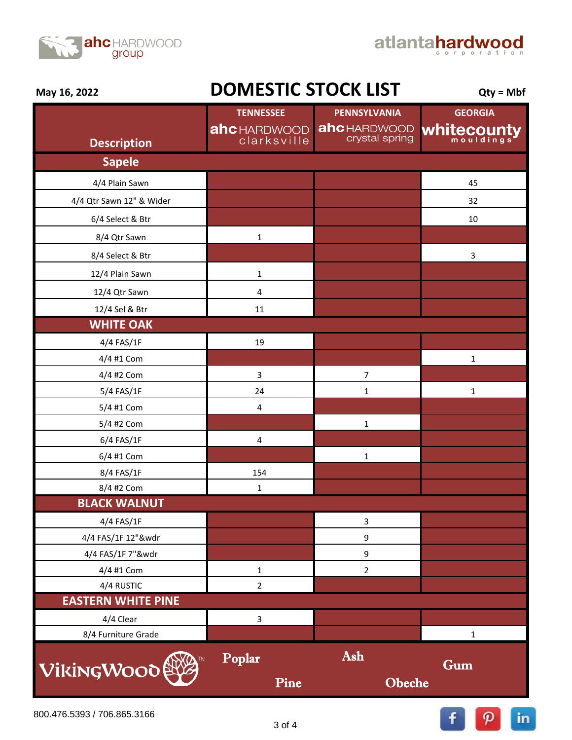



|                           | <b>TENNESSEE</b>    | PENNSYLVANIA                          | <b>GEORGIA</b> |
|---------------------------|---------------------|---------------------------------------|----------------|
|                           | <b>ahc</b> HARDWOOD | <b>ahc</b> HARDWOOD<br>crystal spring | Whitecounty    |
| <b>Description</b>        | clarksville         |                                       |                |
| <b>Sapele</b>             |                     |                                       |                |
| 4/4 Plain Sawn            |                     |                                       | 45             |
| 4/4 Qtr Sawn 12" & Wider  |                     |                                       | 32             |
| 6/4 Select & Btr          |                     |                                       | 10             |
| 8/4 Qtr Sawn              | $\mathbf 1$         |                                       |                |
| 8/4 Select & Btr          |                     |                                       | $\mathsf 3$    |
| 12/4 Plain Sawn           | $\mathbf 1$         |                                       |                |
| 12/4 Qtr Sawn             | 4                   |                                       |                |
| 12/4 Sel & Btr            | 11                  |                                       |                |
| <b>WHITE OAK</b>          |                     |                                       |                |
| 4/4 FAS/1F                | 19                  |                                       |                |
| 4/4 #1 Com                |                     |                                       | $\mathbf 1$    |
| 4/4 #2 Com                | $\mathsf{3}$        | $\overline{7}$                        |                |
| 5/4 FAS/1F                | 24                  | $\mathbf 1$                           | $\mathbf 1$    |
| 5/4 #1 Com                | 4                   |                                       |                |
| 5/4 #2 Com                |                     | $\mathbf 1$                           |                |
| 6/4 FAS/1F                | $\pmb{4}$           |                                       |                |
| 6/4 #1 Com                |                     | $\mathbf 1$                           |                |
| 8/4 FAS/1F                | 154                 |                                       |                |
| 8/4 #2 Com                | $\mathbf 1$         |                                       |                |
| <b>BLACK WALNUT</b>       |                     |                                       |                |
| $4/4$ FAS/1F              |                     | 3                                     |                |
| 4/4 FAS/1F 12"&wdr        |                     | 9                                     |                |
| 4/4 FAS/1F 7"&wdr         |                     | 9                                     |                |
| 4/4 #1 Com                | $\mathbf 1$         | $\overline{2}$                        |                |
| 4/4 RUSTIC                | $\overline{2}$      |                                       |                |
| <b>EASTERN WHITE PINE</b> |                     |                                       |                |
| 4/4 Clear                 | $\mathbf{3}$        |                                       |                |
| 8/4 Furniture Grade       |                     |                                       | $\mathbf 1$    |
|                           | Poplar              | Ash                                   | Gum            |
| VikingWood                | Pine                | Obeche                                |                |